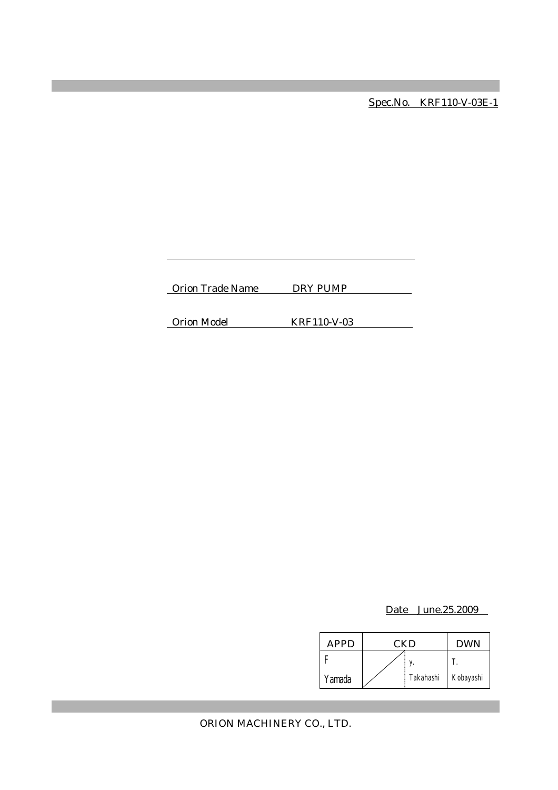Spec.No. KRF110-V-03E-1

Orion Trade Name DRY PUMP

Orion Model KRF110-V-03

Date June.25.2009

| APPD   | CKD |           | <b>DWN</b> |
|--------|-----|-----------|------------|
|        |     |           |            |
| Yamada |     | Takahashi | Kobayashi  |

ORION MACHINERY CO., LTD.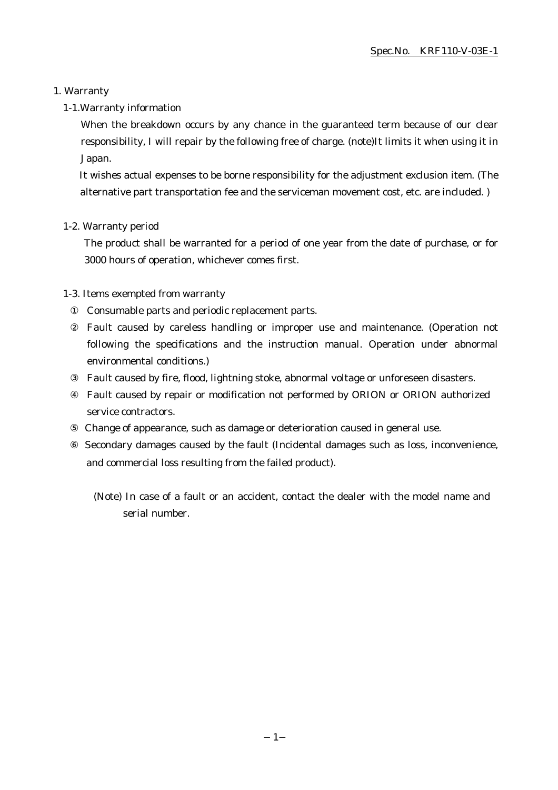#### 1. Warranty

#### 1-1.Warranty information

When the breakdown occurs by any chance in the guaranteed term because of our clear responsibility, I will repair by the following free of charge. (note)It limits it when using it in Japan.

It wishes actual expenses to be borne responsibility for the adjustment exclusion item. (The alternative part transportation fee and the serviceman movement cost, etc. are included. )

#### 1-2. Warranty period

The product shall be warranted for a period of one year from the date of purchase, or for 3000 hours of operation, whichever comes first.

#### 1-3. Items exempted from warranty

Consumable parts and periodic replacement parts.

Fault caused by careless handling or improper use and maintenance. (Operation not following the specifications and the instruction manual. Operation under abnormal environmental conditions.)

Fault caused by fire, flood, lightning stoke, abnormal voltage or unforeseen disasters.

Fault caused by repair or modification not performed by ORION or ORION authorized service contractors.

Change of appearance, such as damage or deterioration caused in general use.

 Secondary damages caused by the fault (Incidental damages such as loss, inconvenience, and commercial loss resulting from the failed product).

(Note) In case of a fault or an accident, contact the dealer with the model name and serial number.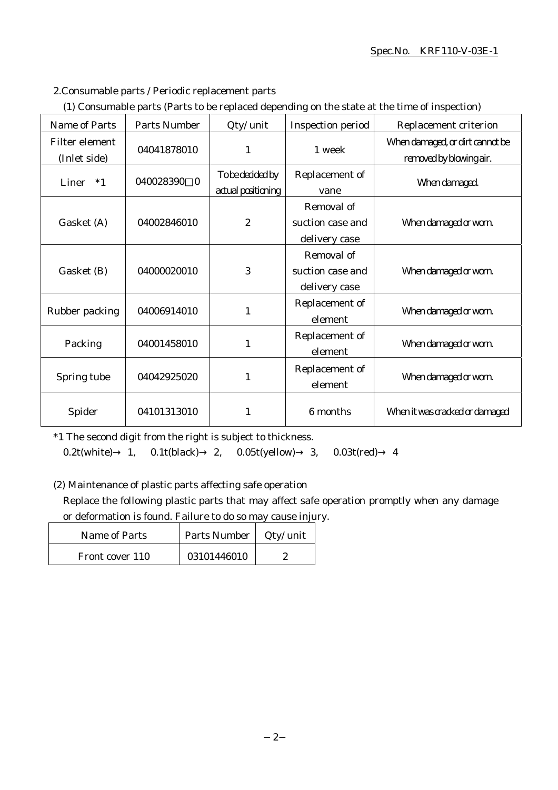#### Spec.No. KRF110-V-03E-1

#### 2.Consumable parts / Periodic replacement parts

|  | (1) Consumable parts (Parts to be replaced depending on the state at the time of inspection) |
|--|----------------------------------------------------------------------------------------------|
|  |                                                                                              |

| Name of Parts                  | <b>Parts Number</b>   | Qty/ unit                              | Inspection period                               | Replacement criterion                                      |
|--------------------------------|-----------------------|----------------------------------------|-------------------------------------------------|------------------------------------------------------------|
| Filter element<br>(Inlet side) | 04041878010           | 1                                      | 1 week                                          | When damaged, or dirt cannot be<br>removed by blowing air. |
| Liner<br>$*1$                  | 040028390<br>$\Omega$ | To be decided by<br>actual positioning | Replacement of<br>vane                          | When damaged.                                              |
| Gasket (A)                     | 04002846010           | $\boldsymbol{2}$                       | Removal of<br>suction case and<br>delivery case | When damaged or worn.                                      |
| Gasket (B)                     | 04000020010           | 3                                      | Removal of<br>suction case and<br>delivery case | When damaged or worn.                                      |
| Rubber packing                 | 04006914010           | 1                                      | Replacement of<br>element                       | When damaged or worn.                                      |
| Packing                        | 04001458010           | 1                                      | Replacement of<br>element                       | When damaged or worn.                                      |
| Spring tube                    | 04042925020           | 1                                      | Replacement of<br>element                       | When damaged or worn.                                      |
| Spider                         | 04101313010           | 1                                      | 6 months                                        | When it was cracked or damaged                             |

\*1 The second digit from the right is subject to thickness.

0.2t(white) 1, 0.1t(black) 2, 0.05t(yellow) 3, 0.03t(red) 4

(2) Maintenance of plastic parts affecting safe operation

Replace the following plastic parts that may affect safe operation promptly when any damage or deformation is found. Failure to do so may cause injury.

| <b>Name of Parts</b> | Parts Number | Qty/ unit |
|----------------------|--------------|-----------|
| Front cover 110      | 03101446010  |           |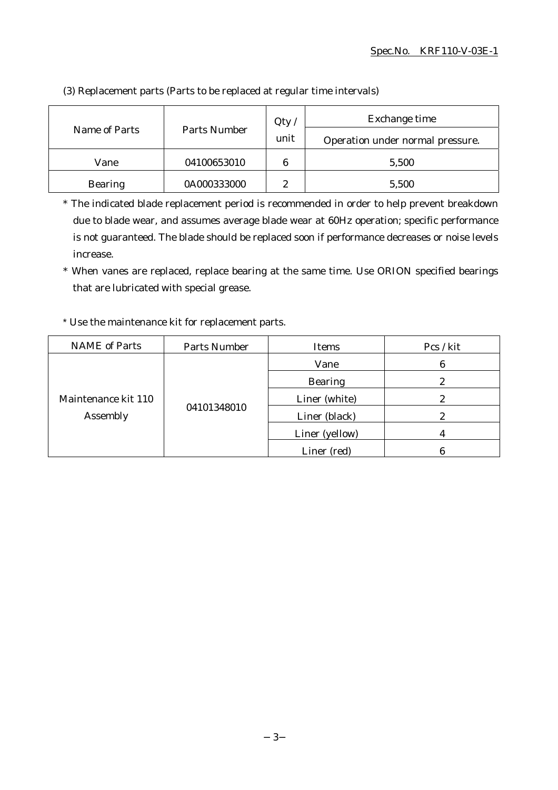|                | Parts Number | Qty    | Exchange time                    |  |
|----------------|--------------|--------|----------------------------------|--|
| Name of Parts  |              | unit   | Operation under normal pressure. |  |
| Vane           | 04100653010  | 6      | 5,500                            |  |
| <b>Bearing</b> | 0A000333000  | 9<br>∼ | 5,500                            |  |

(3) Replacement parts (Parts to be replaced at regular time intervals)

\* The indicated blade replacement period is recommended in order to help prevent breakdown due to blade wear, and assumes average blade wear at 60Hz operation; specific performance is not guaranteed. The blade should be replaced soon if performance decreases or noise levels increase.

\* When vanes are replaced, replace bearing at the same time. Use ORION specified bearings that are lubricated with special grease.

#### \* Use the maintenance kit for replacement parts.

| <b>NAME</b> of Parts            | <b>Parts Number</b> | <b>Items</b>   | Pcs / kit |
|---------------------------------|---------------------|----------------|-----------|
| Maintenance kit 110<br>Assembly | 04101348010         | Vane           | 6         |
|                                 |                     | <b>Bearing</b> | 2         |
|                                 |                     | Liner (white)  |           |
|                                 |                     | Liner (black)  |           |
|                                 |                     | Liner (yellow) |           |
|                                 |                     | Liner (red)    |           |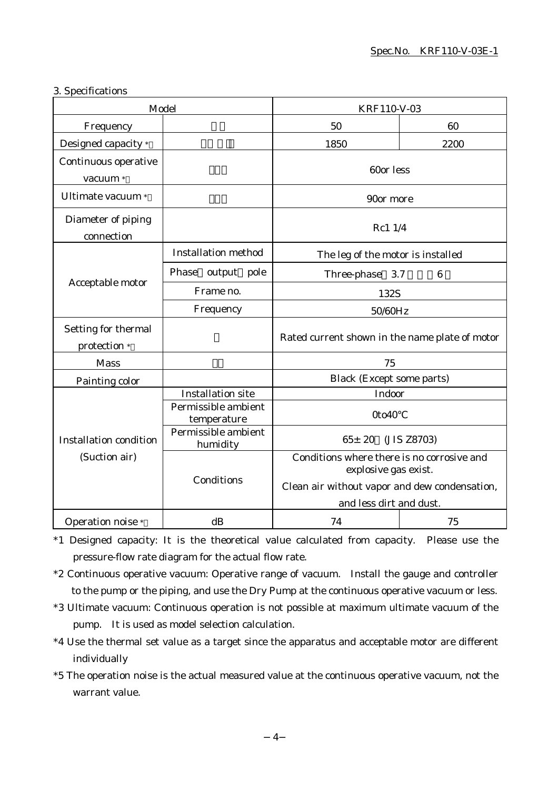#### 3. Specifications

| Model                               |                                    | KRF110-V-03                                                                                                                                    |                 |
|-------------------------------------|------------------------------------|------------------------------------------------------------------------------------------------------------------------------------------------|-----------------|
| Frequency                           |                                    | 50                                                                                                                                             | 60              |
| Designed capacity *                 |                                    | 1850                                                                                                                                           | 2200            |
| Continuous operative<br>vacuum *    |                                    | 60or less                                                                                                                                      |                 |
| Ultimate vacuum *                   |                                    | 90or more                                                                                                                                      |                 |
| Diameter of piping<br>connection    |                                    | Rc1 1/4                                                                                                                                        |                 |
|                                     | <b>Installation method</b>         | The leg of the motor is installed                                                                                                              |                 |
|                                     | output pole<br>Phase               | Three-phase 3.7                                                                                                                                | $6\phantom{1}6$ |
| Acceptable motor                    | Frame no.                          | 132S                                                                                                                                           |                 |
|                                     | Frequency                          | $50/60 \rm Hz$                                                                                                                                 |                 |
| Setting for thermal<br>protection * |                                    | Rated current shown in the name plate of motor                                                                                                 |                 |
| <b>Mass</b>                         |                                    | 75                                                                                                                                             |                 |
| Painting color                      |                                    | <b>Black (Except some parts)</b>                                                                                                               |                 |
|                                     | <b>Installation site</b>           | Indoor                                                                                                                                         |                 |
|                                     | Permissible ambient<br>temperature | 0to40                                                                                                                                          |                 |
| <b>Installation condition</b>       | Permissible ambient<br>humidity    | $65 \pm 20$<br>(JIS Z8703)                                                                                                                     |                 |
| (Suction air)                       | Conditions                         | Conditions where there is no corrosive and<br>explosive gas exist.<br>Clean air without vapor and dew condensation,<br>and less dirt and dust. |                 |
| Operation noise *                   | dB                                 | 74                                                                                                                                             | 75              |

\*1 Designed capacity: It is the theoretical value calculated from capacity. Please use the pressure-flow rate diagram for the actual flow rate.

- \*2 Continuous operative vacuum: Operative range of vacuum. Install the gauge and controller to the pump or the piping, and use the Dry Pump at the continuous operative vacuum or less.
- \*3 Ultimate vacuum: Continuous operation is not possible at maximum ultimate vacuum of the pump. It is used as model selection calculation.
- \*4 Use the thermal set value as a target since the apparatus and acceptable motor are different individually
- \*5 The operation noise is the actual measured value at the continuous operative vacuum, not the warrant value.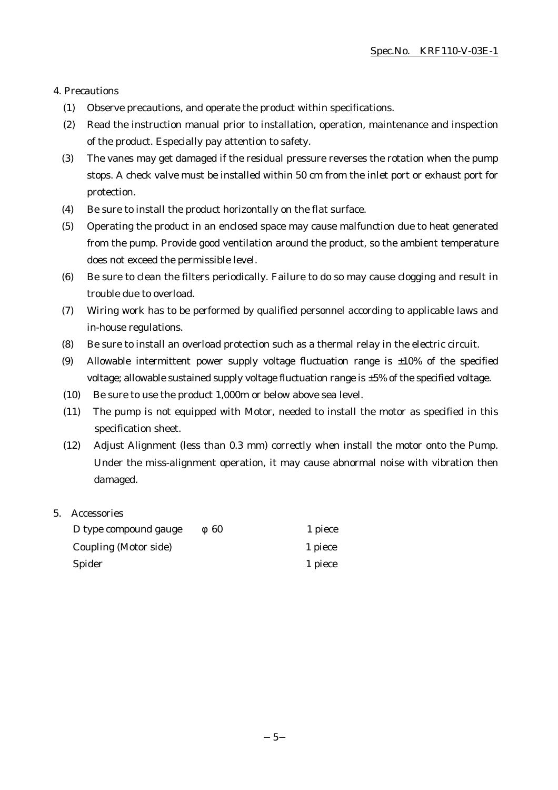#### 4. Precautions

- (1) Observe precautions, and operate the product within specifications.
- (2) Read the instruction manual prior to installation, operation, maintenance and inspection of the product. Especially pay attention to safety.
- (3) The vanes may get damaged if the residual pressure reverses the rotation when the pump stops. A check valve must be installed within 50 cm from the inlet port or exhaust port for protection.
- (4) Be sure to install the product horizontally on the flat surface.
- (5) Operating the product in an enclosed space may cause malfunction due to heat generated from the pump. Provide good ventilation around the product, so the ambient temperature does not exceed the permissible level.
- (6) Be sure to clean the filters periodically. Failure to do so may cause clogging and result in trouble due to overload.
- (7) Wiring work has to be performed by qualified personnel according to applicable laws and in-house regulations.
- (8) Be sure to install an overload protection such as a thermal relay in the electric circuit.
- (9) Allowable intermittent power supply voltage fluctuation range is  $\pm 10\%$  of the specified voltage; allowable sustained supply voltage fluctuation range is ±5% of the specified voltage.
- (10) Be sure to use the product 1,000m or below above sea level.
- (11) The pump is not equipped with Motor, needed to install the motor as specified in this specification sheet.
- (12) Adjust Alignment (less than 0.3 mm) correctly when install the motor onto the Pump. Under the miss-alignment operation, it may cause abnormal noise with vibration then damaged.

#### 5. Accessories

| D type compound gauge | 60 | 1 piece |
|-----------------------|----|---------|
| Coupling (Motor side) |    | 1 piece |
| Spider                |    | 1 piece |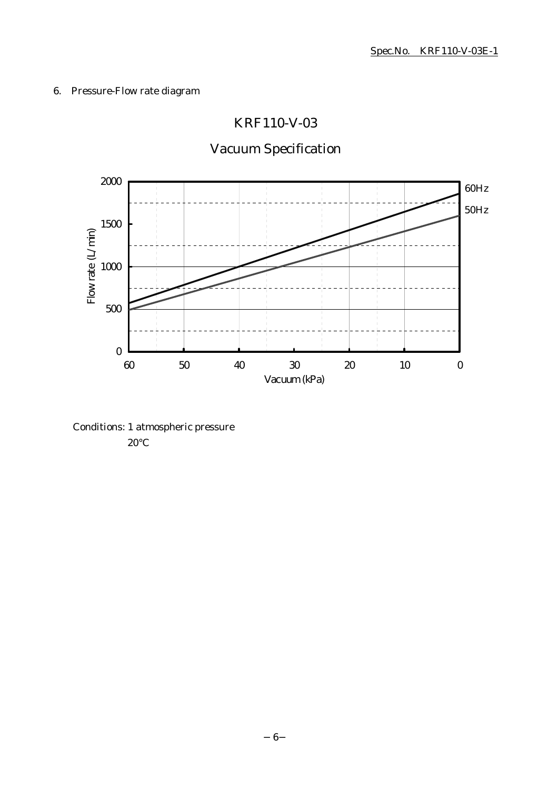### 6. Pressure-Flow rate diagram

## KRF110-V-03

# Vacuum Specification



Conditions: 1 atmospheric pressure 20